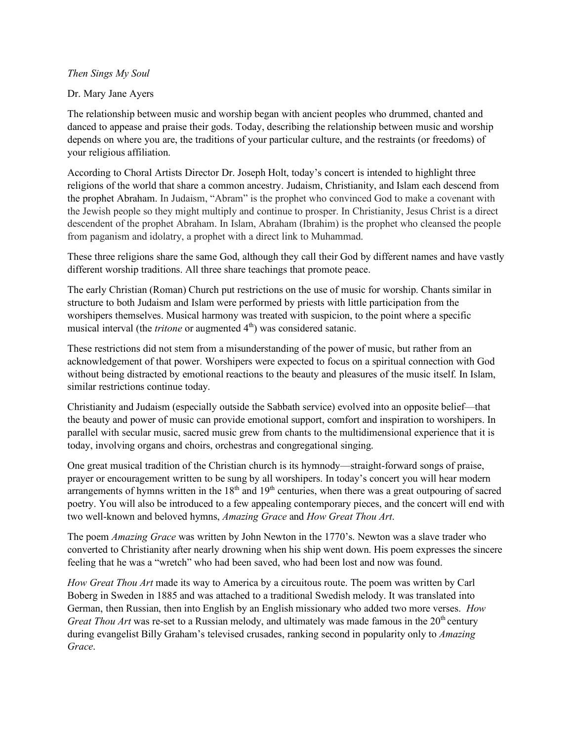## *Then Sings My Soul*

## Dr. Mary Jane Ayers

The relationship between music and worship began with ancient peoples who drummed, chanted and danced to appease and praise their gods. Today, describing the relationship between music and worship depends on where you are, the traditions of your particular culture, and the restraints (or freedoms) of your religious affiliation.

According to Choral Artists Director Dr. Joseph Holt, today's concert is intended to highlight three religions of the world that share a common ancestry. Judaism, Christianity, and Islam each descend from the prophet Abraham. In Judaism, "Abram" is the prophet who convinced God to make a covenant with the Jewish people so they might multiply and continue to prosper. In Christianity, Jesus Christ is a direct descendent of the prophet Abraham. In Islam, Abraham (Ibrahim) is the prophet who cleansed the people from paganism and idolatry, a prophet with a direct link to Muhammad.

These three religions share the same God, although they call their God by different names and have vastly different worship traditions. All three share teachings that promote peace.

The early Christian (Roman) Church put restrictions on the use of music for worship. Chants similar in structure to both Judaism and Islam were performed by priests with little participation from the worshipers themselves. Musical harmony was treated with suspicion, to the point where a specific musical interval (the *tritone* or augmented 4<sup>th</sup>) was considered satanic.

These restrictions did not stem from a misunderstanding of the power of music, but rather from an acknowledgement of that power. Worshipers were expected to focus on a spiritual connection with God without being distracted by emotional reactions to the beauty and pleasures of the music itself. In Islam, similar restrictions continue today.

Christianity and Judaism (especially outside the Sabbath service) evolved into an opposite belief—that the beauty and power of music can provide emotional support, comfort and inspiration to worshipers. In parallel with secular music, sacred music grew from chants to the multidimensional experience that it is today, involving organs and choirs, orchestras and congregational singing.

One great musical tradition of the Christian church is its hymnody—straight-forward songs of praise, prayer or encouragement written to be sung by all worshipers. In today's concert you will hear modern arrangements of hymns written in the  $18<sup>th</sup>$  and  $19<sup>th</sup>$  centuries, when there was a great outpouring of sacred poetry. You will also be introduced to a few appealing contemporary pieces, and the concert will end with two well-known and beloved hymns, *Amazing Grace* and *How Great Thou Art*.

The poem *Amazing Grace* was written by John Newton in the 1770's. Newton was a slave trader who converted to Christianity after nearly drowning when his ship went down. His poem expresses the sincere feeling that he was a "wretch" who had been saved, who had been lost and now was found.

*How Great Thou Art* made its way to America by a circuitous route. The poem was written by Carl Boberg in Sweden in 1885 and was attached to a traditional Swedish melody. It was translated into German, then Russian, then into English by an English missionary who added two more verses. *How Great Thou Art* was re-set to a Russian melody, and ultimately was made famous in the 20<sup>th</sup> century during evangelist Billy Graham's televised crusades, ranking second in popularity only to *Amazing Grace*.